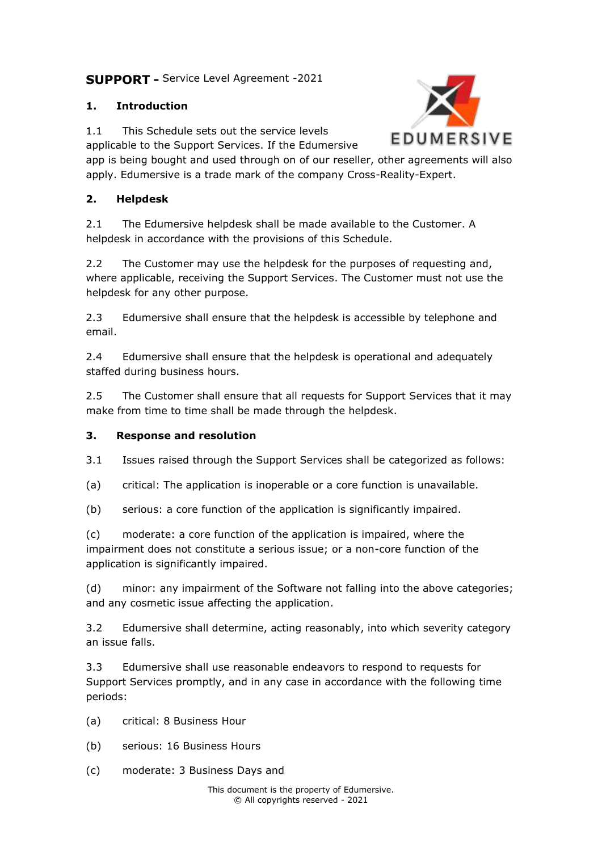# **SUPPORT -** Service Level Agreement -2021

## **1. Introduction**

1.1 This Schedule sets out the service levels

applicable to the Support Services. If the Edumersive

app is being bought and used through on of our reseller, other agreements will also apply. Edumersive is a trade mark of the company Cross-Reality-Expert.

### **2. Helpdesk**

2.1 The Edumersive helpdesk shall be made available to the Customer. A helpdesk in accordance with the provisions of this Schedule.

2.2 The Customer may use the helpdesk for the purposes of requesting and, where applicable, receiving the Support Services. The Customer must not use the helpdesk for any other purpose.

2.3 Edumersive shall ensure that the helpdesk is accessible by telephone and email.

2.4 Edumersive shall ensure that the helpdesk is operational and adequately staffed during business hours.

2.5 The Customer shall ensure that all requests for Support Services that it may make from time to time shall be made through the helpdesk.

### **3. Response and resolution**

3.1 Issues raised through the Support Services shall be categorized as follows:

- (a) critical: The application is inoperable or a core function is unavailable.
- (b) serious: a core function of the application is significantly impaired.

(c) moderate: a core function of the application is impaired, where the impairment does not constitute a serious issue; or a non-core function of the application is significantly impaired.

(d) minor: any impairment of the Software not falling into the above categories; and any cosmetic issue affecting the application.

3.2 Edumersive shall determine, acting reasonably, into which severity category an issue falls.

3.3 Edumersive shall use reasonable endeavors to respond to requests for Support Services promptly, and in any case in accordance with the following time periods:

(a) critical: 8 Business Hour

- (b) serious: 16 Business Hours
- (c) moderate: 3 Business Days and

This document is the property of Edumersive. © All copyrights reserved - 2021

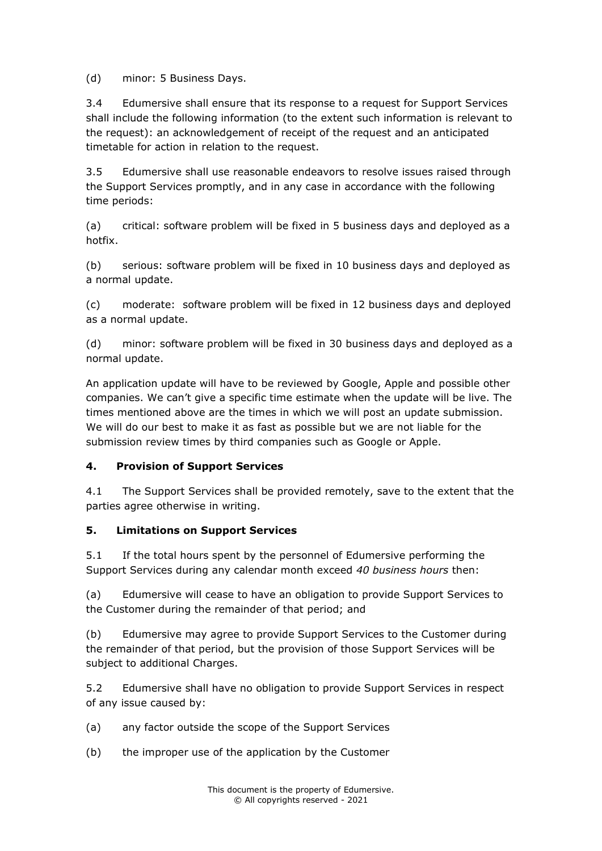(d) minor: 5 Business Days.

3.4 Edumersive shall ensure that its response to a request for Support Services shall include the following information (to the extent such information is relevant to the request): an acknowledgement of receipt of the request and an anticipated timetable for action in relation to the request.

3.5 Edumersive shall use reasonable endeavors to resolve issues raised through the Support Services promptly, and in any case in accordance with the following time periods:

(a) critical: software problem will be fixed in 5 business days and deployed as a hotfix.

(b) serious: software problem will be fixed in 10 business days and deployed as a normal update.

(c) moderate: software problem will be fixed in 12 business days and deployed as a normal update.

(d) minor: software problem will be fixed in 30 business days and deployed as a normal update.

An application update will have to be reviewed by Google, Apple and possible other companies. We can't give a specific time estimate when the update will be live. The times mentioned above are the times in which we will post an update submission. We will do our best to make it as fast as possible but we are not liable for the submission review times by third companies such as Google or Apple.

### **4. Provision of Support Services**

4.1 The Support Services shall be provided remotely, save to the extent that the parties agree otherwise in writing.

#### **5. Limitations on Support Services**

5.1 If the total hours spent by the personnel of Edumersive performing the Support Services during any calendar month exceed *40 business hours* then:

(a) Edumersive will cease to have an obligation to provide Support Services to the Customer during the remainder of that period; and

(b) Edumersive may agree to provide Support Services to the Customer during the remainder of that period, but the provision of those Support Services will be subject to additional Charges.

5.2 Edumersive shall have no obligation to provide Support Services in respect of any issue caused by:

- (a) any factor outside the scope of the Support Services
- (b) the improper use of the application by the Customer